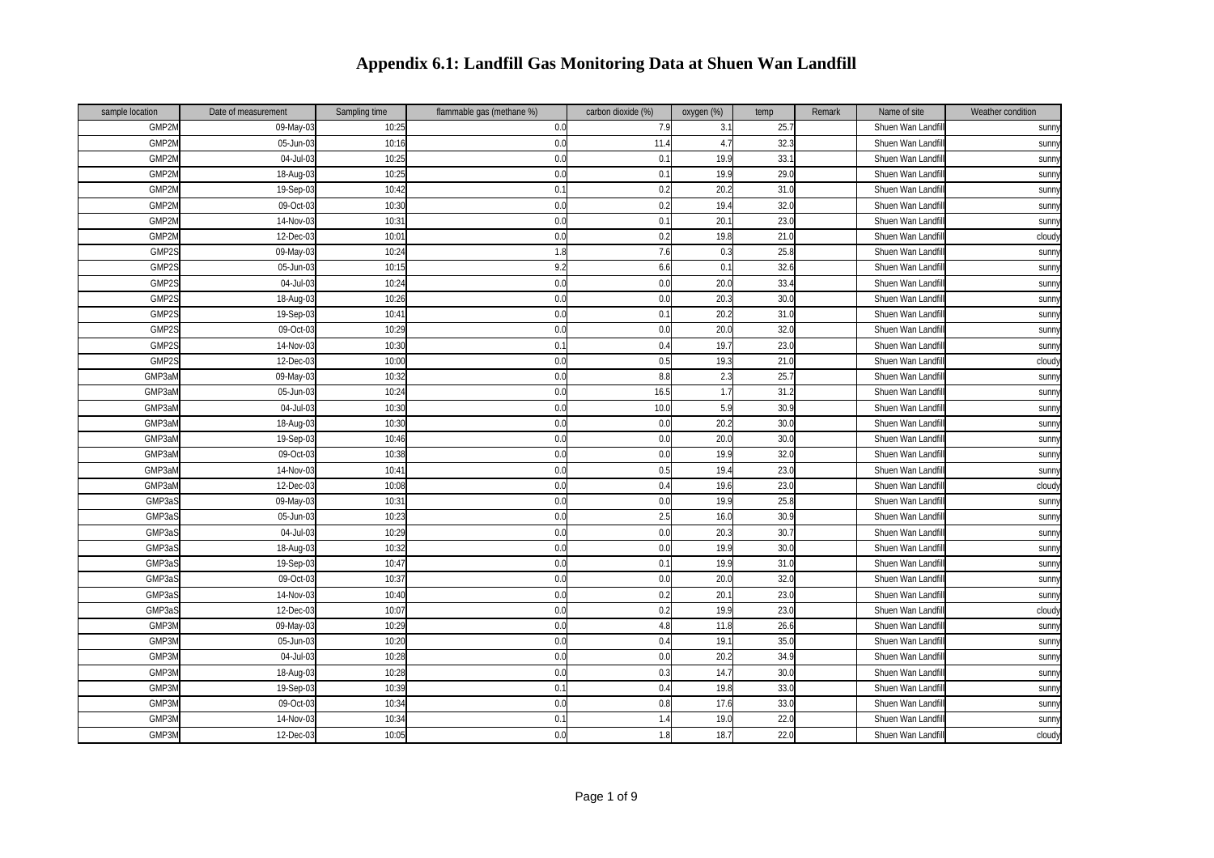| sample location | Date of measurement | Sampling time | flammable gas (methane %) | carbon dioxide (%) | oxygen (%) | temp | Remark | Name of site      | Weather condition |
|-----------------|---------------------|---------------|---------------------------|--------------------|------------|------|--------|-------------------|-------------------|
| GMP2M           | 09-May-03           | 10:25         | 0.0                       | 7.9                | 3.1        | 25.7 |        | Shuen Wan Landf   | sunn              |
| GMP2N           | 05-Jun-03           | 10:16         | 0.0                       | 11.4               | 4.7        | 32.3 |        | Shuen Wan Landfi  | sunny             |
| GMP2N           | 04-Jul-0            | 10:25         | 0.0                       | 0.1                | 19.9       | 33.7 |        | Shuen Wan Landf   | <b>Sunny</b>      |
| GMP2M           | $18-Aug-03$         | 10:2          | 0.0                       | 0.1                | 19.9       | 29.0 |        | Shuen Wan Landf   | sunn              |
| GMP2M           | 19-Sep-03           | 10:4          | 0.2                       | 0.2                | 20.2       | 31.0 |        | Shuen Wan Landfi  | sunny             |
| GMP2M           | 09-Oct-0            | 10:30         | 0.0                       | 0.2                | 19.4       | 32.0 |        | Shuen Wan Landf   | sunn <sup>y</sup> |
| GMP2M           | 14-Nov-03           | 10:3'         | 0.0                       | 0.1                | 20.1       | 23.0 |        | Shuen Wan Landf   | sunny             |
| GMP2M           | 12-Dec-03           | $10:0^{-}$    | 0.0                       | 0.2                | 19.8       | 21.0 |        | Shuen Wan Landf   | cloud             |
| GMP2S           | 09-May-03           | 10:24         | 1.8                       | 7.6                | 0.3        | 25.8 |        | Shuen Wan Landfi  | <b>Sunn</b>       |
| GMP2S           | 05-Jun-03           | 10:15         | 9.2                       | 6.6                | 0.1        | 32.6 |        | Shuen Wan Landfil | sunn              |
| GMP2S           | 04-Jul-03           | 10:2          | 0.0                       | 0.0                | 20.0       | 33.4 |        | Shuen Wan Landfi  | sunny             |
| GMP2S           | 18-Aug-03           | 10:26         | 0.0                       | 0.0                | 20.3       | 30.0 |        | Shuen Wan Landf   | sunn              |
| GMP2S           | 19-Sep-03           | 10:4          | 0.0                       | 0.1                | 20.2       | 31.0 |        | Shuen Wan Landf   | sunny             |
| GMP2S           | 09-Oct-0            | 10:29         | 0.0                       | 0.0                | 20.0       | 32.0 |        | Shuen Wan Landf   | sunny             |
| GMP2S           | 14-Nov-03           | 10:30         | 0.2                       | 0.4                | 19.7       | 23.0 |        | Shuen Wan Landf   | sunn              |
| GMP2S           | 12-Dec-03           | 10:00         | 0.0                       | 0.5                | 19.3       | 21.0 |        | Shuen Wan Landfi  | cloud             |
| GMP3aM          | 09-May-03           | 10:3          | 0.0                       | 8.8                | 2.3        | 25.7 |        | Shuen Wan Landf   | <b>Sunny</b>      |
| GMP3aM          | 05-Jun-03           | 10:24         | 0.0                       | 16.5               | 1.7        | 31.2 |        | Shuen Wan Landf   | sunny             |
| GMP3aM          | 04-Jul-03           | 10:30         | 0.0                       | 10.0               | 5.9        | 30.9 |        | Shuen Wan Landfi  | sunny             |
| GMP3aM          | 18-Aug-03           | 10:30         | 0.0                       | 0.0                | 20.2       | 30.0 |        | Shuen Wan Landfi  | sunny             |
| GMP3aM          | 19-Sep-03           | 10:46         | 0.0                       | 0.0                | 20.0       | 30.0 |        | Shuen Wan Landfil | sunny             |
| GMP3aM          | 09-Oct-03           | 10:38         | 0.0                       | 0.0                | 19.9       | 32.0 |        | Shuen Wan Landfi  | sunn <sup>y</sup> |
| GMP3aM          | 14-Nov-0.           | 10:4          | 0.0                       | 0.5                | 19.4       | 23.0 |        | Shuen Wan Landf   | sunn              |
| GMP3aM          | 12-Dec-03           | 10:08         | 0.0                       | 0.4                | 19.6       | 23.0 |        | Shuen Wan Landf   | cloud             |
| GMP3aS          | 09-May-03           | 10:3'         | 0.0                       | 0.0                | 19.9       | 25.8 |        | Shuen Wan Landf   | sunny             |
| GMP3aS          | 05-Jun-0            | 10:2          | 0.0                       | 2.5                | 16.0       | 30.9 |        | Shuen Wan Landfi  | sunn              |
| GMP3aS          | 04-Jul-03           | 10:29         | 0.0                       | 0.0                | 20.3       | 30.7 |        | Shuen Wan Landfil | sunny             |
| GMP3aS          | 18-Aug-03           | 10:3          | 0.0                       | 0.0                | 19.9       | 30.0 |        | Shuen Wan Landf   | sunny             |
| GMP3aS          | 19-Sep-03           | 10:4          | 0.0                       | 0.1                | 19.9       | 31.0 |        | Shuen Wan Landf   | sunny             |
| GMP3aS          | 09-Oct-03           | 10:3          | 0.0                       | 0.0                | 20.0       | 32.0 |        | Shuen Wan Landfi  | sunny             |
| GMP3aS          | 14-Nov-03           | 10:40         | 0.0                       | 0.2                | 20.1       | 23.0 |        | Shuen Wan Landfi  | sunn <sup>y</sup> |
| GMP3aS          | 12-Dec-03           | 10:0          | 0.0                       | 0.2                | 19.9       | 23.0 |        | Shuen Wan Landfil | cloud             |
| GMP3N           | 09-May-03           | 10:29         | 0.0                       | 4.8                | 11.8       | 26.6 |        | Shuen Wan Landfi  | sunny             |
| GMP3N           | 05-Jun-0            | 10:20         | 0.0                       | 0.4                | 19.1       | 35.0 |        | Shuen Wan Landf   | sunn              |
| GMP3N           | 04-Jul-0            | 10:28         | 0.0                       | 0.0                | 20.2       | 34.9 |        | Shuen Wan Landf   | sunny             |
| GMP3N           | 18-Aug-03           | 10:28         | 0.0                       | 0.3                | 14.7       | 30.0 |        | Shuen Wan Landf   | sunny             |
| GMP3N           | 19-Sep-03           | 10:39         | 0.2                       | 0.4                | 19.8       | 33.0 |        | Shuen Wan Landfi  | sunny             |
| GMP3M           | 09-Oct-03           | 10:34         | 0.0                       | 0.8                | 17.6       | 33.0 |        | Shuen Wan Landfil | <b>Sunn</b>       |
| GMP3N           | 14-Nov-0            | 10:34         | $0.$                      | 1.4                | 19.0       | 22.0 |        | Shuen Wan Landf   | sunny             |
| GMP3M           | 12-Dec-03           | 10:05         | 0.0                       | 1.8                | 18.7       | 22.0 |        | Shuen Wan Landfi  | cloudy            |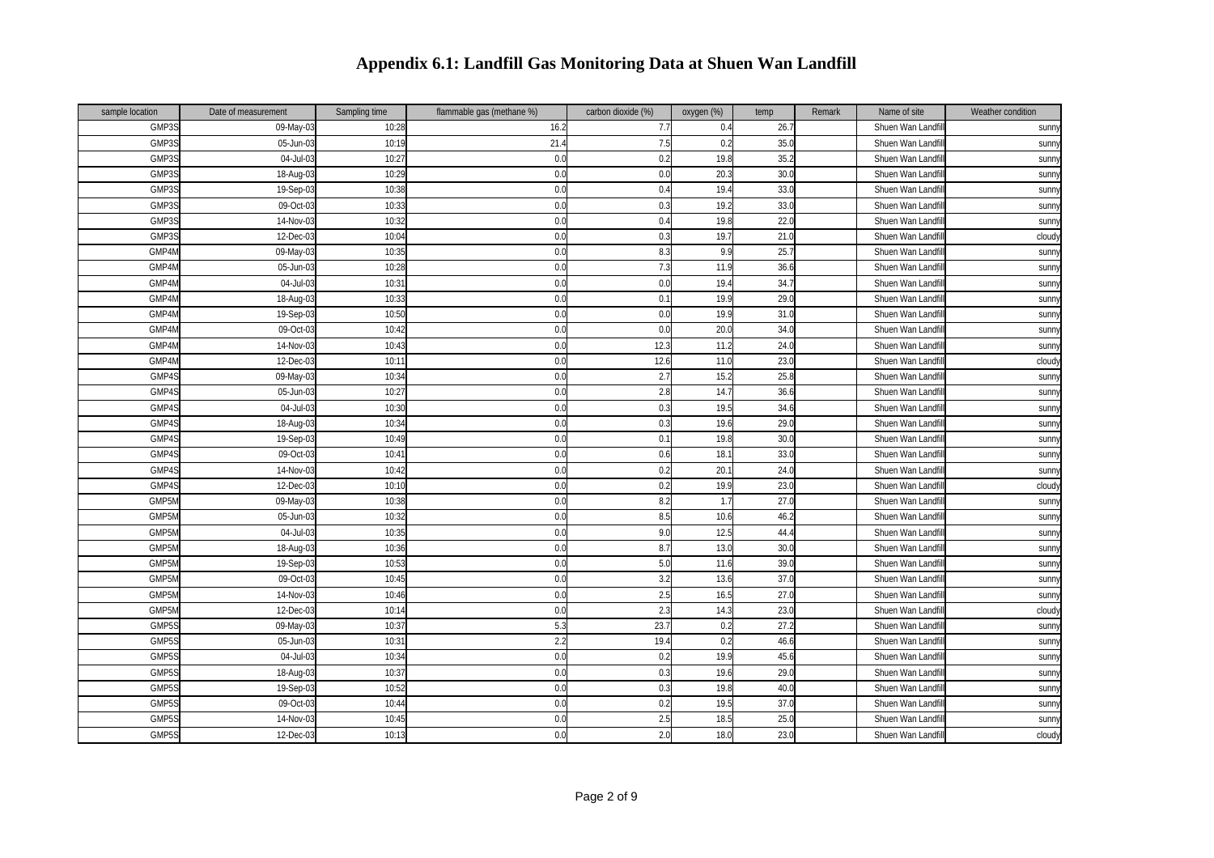| sample location    | Date of measurement     | Sampling time | flammable gas (methane %) | carbon dioxide (%) | oxygen (%) | temp | Remark | Name of site      | Weather condition |
|--------------------|-------------------------|---------------|---------------------------|--------------------|------------|------|--------|-------------------|-------------------|
| GMP3S              | 09-May-0                | 10:28         | 16.2                      | 7.7                | 0.4        | 26.7 |        | Shuen Wan Landfi  | sunn              |
| GMP3S              | 05-Jun-03               | 10:19         | 21.4                      | 7.5                | 0.2        | 35.0 |        | Shuen Wan Landfi  | sunny             |
| GMP3S              | 04-Jul-0                | 10:27         | 0.0                       | 0.2                | 19.8       | 35.2 |        | Shuen Wan Landfi  | sunn              |
| GMP3S              | 18-Aug-03               | 10:29         | 0.0                       | 0.0                | 20.3       | 30.0 |        | Shuen Wan Landfi  | sunn              |
| GMP3S              | 19-Sep-03               | 10:38         | 0.0                       | 0.4                | 19.4       | 33.0 |        | Shuen Wan Landfi  | sunny             |
| GMP3S              | 09-Oct-03               | 10:33         | 0.0                       | 0.3                | 19.2       | 33.0 |        | Shuen Wan Landfi  | sunn              |
| GMP3S              | 14-Nov-03               | 10:32         | 0.0                       | 0.4                | 19.8       | 22.0 |        | Shuen Wan Landfi  | sunny             |
| GMP3S              | 12-Dec-03               | 10:04         | 0.0                       | 0.3                | 19.7       | 21.0 |        | Shuen Wan Landfi  | cloud             |
| GMP4M              | 09-May-03               | 10:35         | 0.0                       | 8.3                | 9.9        | 25.7 |        | Shuen Wan Landfi  | <b>Sunn</b>       |
| GMP4M              | 05-Jun-03               | 10:28         | 0.0                       | 7.3                | 11.9       | 36.6 |        | Shuen Wan Landfil | sunny             |
| GMP4N              | 04-Jul-03               | 10:3          | 0.0                       | 0.0                | 19.4       | 34.7 |        | Shuen Wan Landfi  | sunn              |
| GMP4M              | 18-Aug-03               | 10:33         | 0.0                       | 0.1                | 19.9       | 29.0 |        | Shuen Wan Landf   | sunn              |
| GMP4M              | 19-Sep-03               | 10:50         | 0.0                       | 0.0                | 19.9       | 31.0 |        | Shuen Wan Landfi  | sunny             |
| GMP4M              | 09-Oct-03               | 10:42         | 0.0                       | 0.0                | 20.0       | 34.0 |        | Shuen Wan Landfi  | sunny             |
| GMP4M              | 14-Nov-03               | 10:43         | 0.0                       | 12.3               | 11.2       | 24.0 |        | Shuen Wan Landfi  | sunn              |
| GMP4M              | 12-Dec-03               | 10:11         | 0.0                       | 12.6               | 11.0       | 23.0 |        | Shuen Wan Landfil | cloud             |
| GMP4S              | 09-May-03               | 10:34         | 0.0                       | 2.7                | 15.2       | 25.8 |        | Shuen Wan Landfi  | sunn              |
| GMP4S              | 05-Jun-03               | 10:27         | 0.0                       | 2.8                | 14.7       | 36.6 |        | Shuen Wan Landfi  | sunny             |
| GMP4S              | 04-Jul-03               | 10:30         | 0.0                       | 0.3                | 19.5       | 34.6 |        | Shuen Wan Landfi  | sunny             |
| GMP4S              | $\overline{18}$ -Aug-03 | 10:34         | 0.0                       | 0.3                | 19.6       | 29.0 |        | Shuen Wan Landfi  | sunny             |
| GMP4S              | 19-Sep-03               | 10:49         | 0.0                       | 0.1                | 19.8       | 30.0 |        | Shuen Wan Landfil | sunny             |
| GMP4S              | 09-Oct-03               | 10:4          | 0.0                       | 0.6                | 18.1       | 33.0 |        | Shuen Wan Landfi  | <b>Sunn</b>       |
| GMP4S              | 14-Nov-03               | 10:42         | 0.0                       | 0.2                | 20.1       | 24.0 |        | Shuen Wan Landf   | sunn              |
| GMP4S              | 12-Dec-03               | 10:10         | 0.0                       | 0.2                | 19.9       | 23.0 |        | Shuen Wan Landf   | cloud             |
| GMP5N              | 09-May-03               | 10:38         | 0.0                       | 8.2                | 1.7        | 27.0 |        | Shuen Wan Landf   | sunn              |
| GMP5N              | 05-Jun-03               | 10:32         | 0.0                       | 8.5                | 10.6       | 46.2 |        | Shuen Wan Landfi  | sunn              |
| GMP <sub>5</sub> M | 04-Jul-03               | 10:35         | 0.0                       | 9.0                | 12.5       | 44.4 |        | Shuen Wan Landfil | sunny             |
| GMP <sub>5</sub> M | 18-Aug-03               | 10:36         | 0.0                       | 8.7                | 13.0       | 30.0 |        | Shuen Wan Landfi  | sunn              |
| GMP5N              | 19-Sep-03               | 10:53         | 0.0                       | 5.0                | 11.6       | 39.0 |        | Shuen Wan Landfi  | sunny             |
| GMP5N              | 09-Oct-03               | 10:45         | 0.0                       | 3.2                | 13.6       | 37.0 |        | Shuen Wan Landfi  | sunny             |
| GMP5N              | 14-Nov-03               | 10:46         | 0.0                       | 2.5                | 16.5       | 27.0 |        | Shuen Wan Landfi  | <b>Sunn</b>       |
| GMP5N              | 12-Dec-03               | 10:14         | 0.0                       | 2.3                | 14.3       | 23.0 |        | Shuen Wan Landfil | cloud             |
| GMP5S              | 09-May-03               | 10:37         | 5.                        | 23.7               | 0.2        | 27.2 |        | Shuen Wan Landfi  | sunny             |
| GMP5S              | 05-Jun-03               | 10:3          | 2.2                       | 19.4               | 0.2        | 46.6 |        | Shuen Wan Landfi  | sunn              |
| GMP5S              | 04-Jul-03               | 10:34         | 0.0                       | 0.2                | 19.9       | 45.6 |        | Shuen Wan Landfi  | sunny             |
| GMP5S              | 18-Aug-03               | 10:3          | 0.0                       | 0.3                | 19.6       | 29.0 |        | Shuen Wan Landfi  | sunn              |
| GMP5S              | 19-Sep-03               | 10:52         | 0.0                       | 0.3                | 19.8       | 40.0 |        | Shuen Wan Landfi  | sunn              |
| GMP5S              | 09-Oct-03               | 10:44         | 0.0                       | 0.2                | 19.5       | 37.0 |        | Shuen Wan Landfil | <b>Sunn</b>       |
| GMP5               | 14-Nov-03               | 10:45         | 0.0                       | 2.5                | 18.5       | 25.0 |        | Shuen Wan Landf   | <b>Sunn</b>       |
| GMP5S              | 12-Dec-03               | 10:13         | 0.0                       | 2.0                | 18.0       | 23.0 |        | Shuen Wan Landfi  | cloudy            |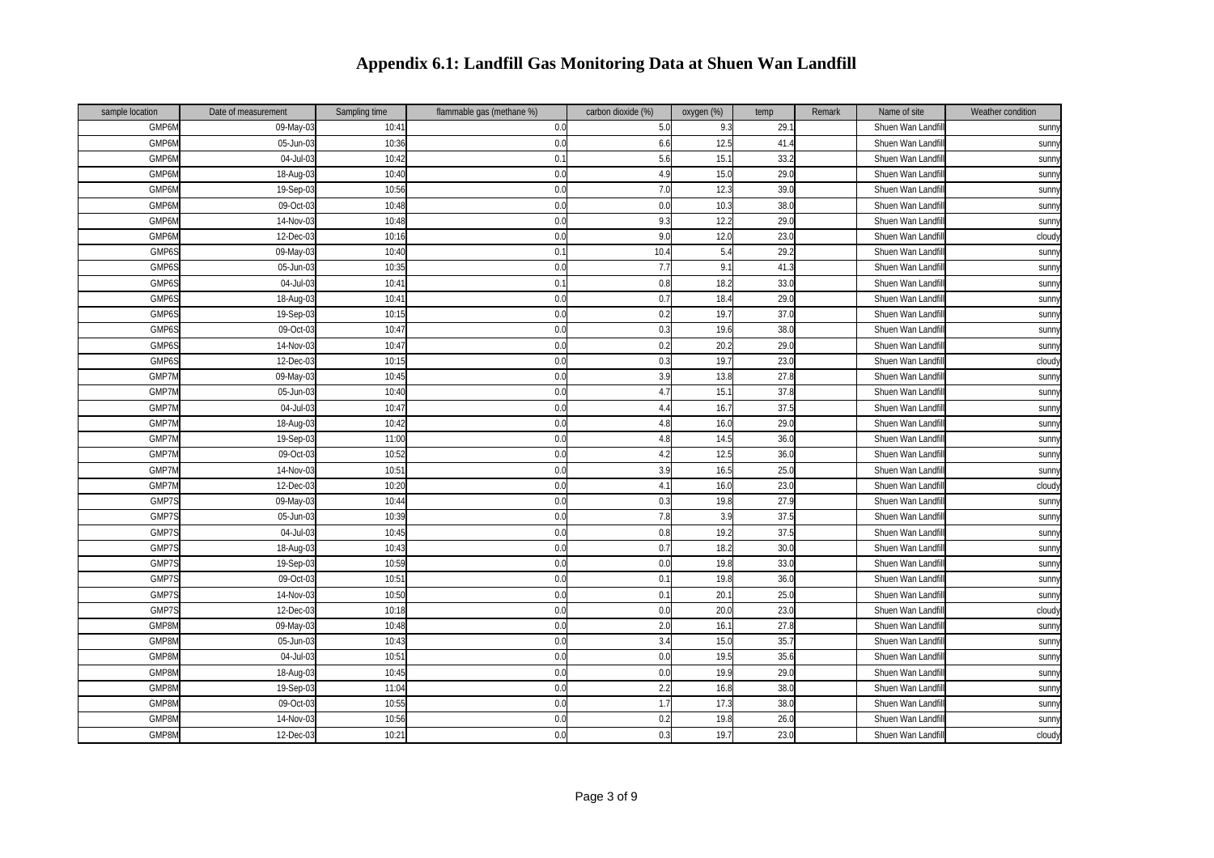| sample location | Date of measurement     | Sampling time | flammable gas (methane %) | carbon dioxide (%) | oxygen (%) | temp | Remark | Name of site      | Weather condition |
|-----------------|-------------------------|---------------|---------------------------|--------------------|------------|------|--------|-------------------|-------------------|
| GMP6N           | $\overline{09}$ -May-03 | 10:4          | 0.0                       | 5.0                | 9.3        | 29.1 |        | Shuen Wan Landfil | sunn              |
| GMP6N           | 05-Jun-03               | 10:36         | 0.0                       | 6.6                | 12.5       | 41.4 |        | Shuen Wan Landfi  | sunn              |
| GMP6N           | 04-Jul-0                | 10:42         | 0.                        | 5.6                | 15.1       | 33.2 |        | Shuen Wan Landf   | sunny             |
| GMP6N           | 18-Aug-03               | 10:40         | 0.0                       | 4.9                | 15.0       | 29.0 |        | Shuen Wan Landfi  | <b>Sunn</b>       |
| GMP6N           | 19-Sep-03               | 10:56         | 0.0                       | 7.0                | 12.3       | 39.0 |        | Shuen Wan Landfi  | sunny             |
| GMP6N           | 09-Oct-03               | 10:48         | 0.0                       | 0.0                | 10.3       | 38.0 |        | Shuen Wan Landf   | sunn              |
| GMP6N           | 14-Nov-03               | 10:48         | 0.0                       | 9.3                | 12.2       | 29.0 |        | Shuen Wan Landf   | sunn              |
| GMP6N           | 12-Dec-03               | 10:16         | 0.0                       | 9.0                | 12.0       | 23.0 |        | Shuen Wan Landfi  | cloudy            |
| GMP6S           | 09-May-03               | 10:40         | 0.                        | 10.4               | 5.4        | 29.2 |        | Shuen Wan Landfi  | sunny             |
| GMP6S           | 05-Jun-03               | 10:35         | 0.0                       | 7.7                | 9.1        | 41.3 |        | Shuen Wan Landfi  | sunny             |
| GMP6S           | 04-Jul-03               | 10:4          | 0.                        | 0.8                | 18.2       | 33(  |        | Shuen Wan Landfi  | sunn <sup>y</sup> |
| GMP6S           | 18-Aug-03               | 10:4          | 0.0                       | 0.7                | 18.4       | 29.0 |        | Shuen Wan Landfi  | <b>Sunn</b>       |
| GMP6S           | 19-Sep-03               | 10:1!         | 0.0                       | 0.2                | 19.7       | 37.0 |        | Shuen Wan Landfi  | sunn              |
| GMP6S           | 09-Oct-03               | 10:4          | 0.0                       | 0.3                | 19.6       | 38.0 |        | Shuen Wan Landf   | sunn              |
| GMP6S           | 14-Nov-03               | 10:47         | 0.0                       | 0.2                | 20.2       | 29.0 |        | Shuen Wan Landfi  | <b>Sunn</b>       |
| GMP6S           | 12-Dec-03               | 10:15         | 0.0                       | 0.3                | 19.7       | 23.0 |        | Shuen Wan Landfil | cloudy            |
| GMP7N           | 09-May-03               | 10:45         | 0.0                       | 3.9                | 13.8       | 27.8 |        | Shuen Wan Landf   | sunn <sup>y</sup> |
| GMP7N           | 05-Jun-0                | 10:40         | 0.0                       | 4.7                | 15.7       | 37.8 |        | Shuen Wan Landf   | sunny             |
| GMP7M           | 04-Jul-03               | 10:4          | 0.0                       | 4.4                | 16.7       | 37.5 |        | Shuen Wan Landfi  | sunny             |
| GMP7N           | 18-Aug-03               | 10:42         | 0.0                       | 4.8                | 16.0       | 29.0 |        | Shuen Wan Landfi  | <b>Sunn</b>       |
| GMP7M           | 19-Sep-03               | 11:00         | 0.0                       | 4.8                | 14.5       | 36.0 |        | Shuen Wan Landfil | sunny             |
| GMP7M           | 09-Oct-03               | 10:52         | 0.0                       | 4.2                | 12.5       | 36.0 |        | Shuen Wan Landfi  | sunny             |
| GMP7M           | 14-Nov-03               | 10:5'         | 0.0                       | 3.9                | 16.5       | 25.0 |        | Shuen Wan Landf   | <b>Sunn</b>       |
| GMP7N           | 12-Dec-03               | 10:20         | 0.0                       | 4.1                | 16.0       | 23.0 |        | Shuen Wan Landf   | cloudy            |
| GMP79           | 09-May-03               | 10:44         | 0.0                       | 0.3                | 19.8       | 27.9 |        | Shuen Wan Landf   | sunny             |
| GMP7S           | 05-Jun-03               | 10:39         | 0.0                       | 7.8                | 3.9        | 37.5 |        | Shuen Wan Landfi  | sunny             |
| GMP7S           | 04-Jul-03               | 10:45         | 0.0                       | 0.8                | 19.2       | 37.5 |        | Shuen Wan Landfi  | sunn <sup>y</sup> |
| GMP79           | 18-Aug-03               | 10:43         | 0.0                       | 0.7                | 18.2       | 30.0 |        | Shuen Wan Landf   | sunn              |
| GMP7S           | 19-Sep-03               | 10:59         | 0.0                       | 0.0                | 19.8       | 33.0 |        | Shuen Wan Landf   | sunn              |
| GMP7S           | 09-Oct-03               | 10:51         | 0.0                       | 0.1                | 19.8       | 36.0 |        | Shuen Wan Landfi  | sunny             |
| GMP7S           | 14-Nov-03               | 10:50         | 0.0                       | 0.1                | 20.1       | 25.0 |        | Shuen Wan Landfi  | <b>Sunn</b>       |
| GMP7S           | 12-Dec-03               | 10:18         | 0.0                       | 0.0                | 20.0       | 23.0 |        | Shuen Wan Landfi  | cloudy            |
| GMP8N           | 09-May-03               | 10:48         | 0.0                       | 2.0                | 16.1       | 27.8 |        | Shuen Wan Landfi  | sunny             |
| GMP8M           | 05-Jun-03               | 10:43         | 0.0                       | 3.4                | 15.0       | 35.7 |        | Shuen Wan Landf   | sunn <sup>y</sup> |
| GMP8N           | 04-Jul-03               | 10:5          | 0.0                       | 0.0                | 19.5       | 35.6 |        | Shuen Wan Landf   | sunny             |
| GMP8N           | 18-Aug-03               | 10:45         | 0.0                       | 0.0                | 19.9       | 29.0 |        | Shuen Wan Landf   | sunny             |
| GMP8M           | 19-Sep-03               | 11:04         | 0.0                       | 2.2                | 16.8       | 38.0 |        | Shuen Wan Landfi  | sunny             |
| GMP8M           | 09-Oct-03               | 10:55         | 0.0                       | 1.7                | 17.3       | 38.0 |        | Shuen Wan Landfi  | sunny             |
| GMP8N           | 14-Nov-03               | 10:56         | 0.0                       | 0.2                | 19.8       | 26.0 |        | Shuen Wan Landf   | sunny             |
| GMP8M           | 12-Dec-03               | 10:21         | 0.0                       | 0.3                | 19.7       | 23.0 |        | Shuen Wan Landfi  | cloudy            |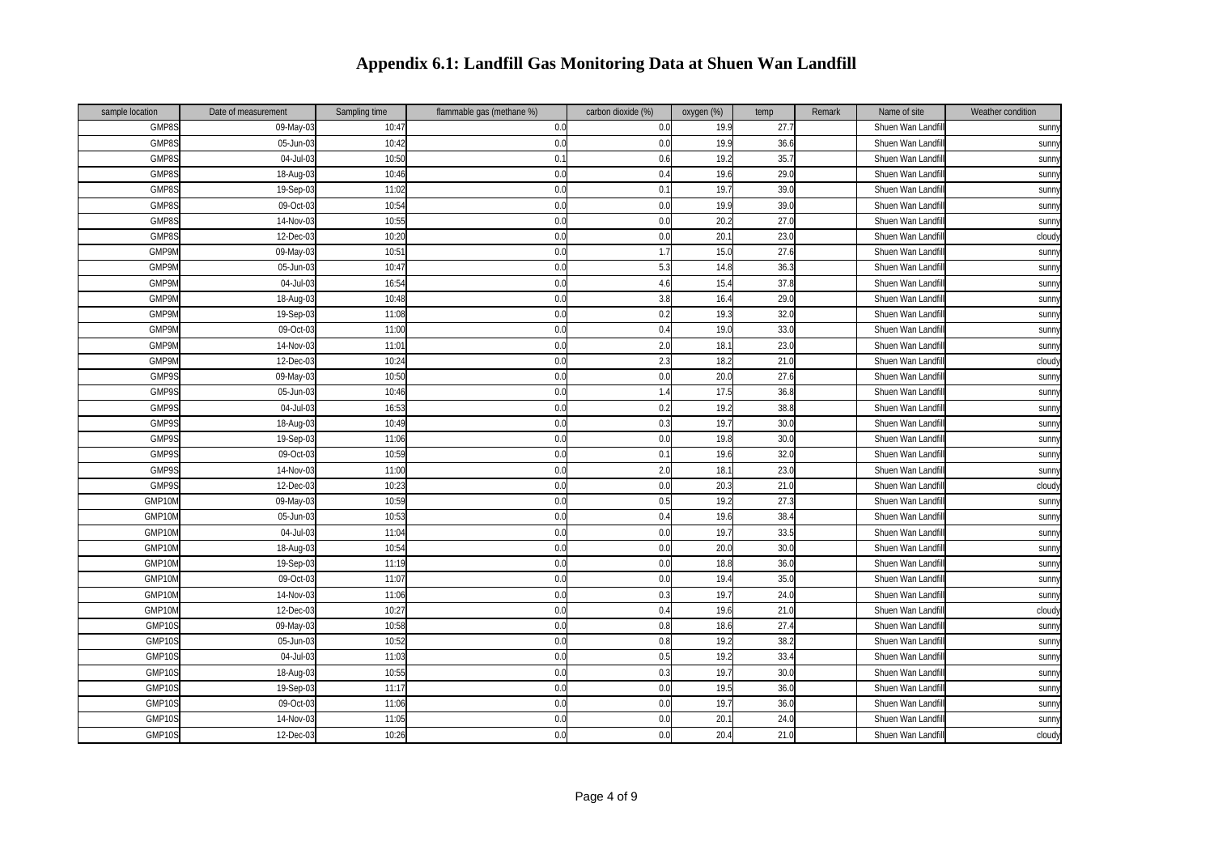| sample location | Date of measurement     | Sampling time | flammable gas (methane %) | carbon dioxide (%) | oxygen (%) | temp | Remark | Name of site      | Weather condition |
|-----------------|-------------------------|---------------|---------------------------|--------------------|------------|------|--------|-------------------|-------------------|
| GMP8S           | 09-May-0                | 10:4          | 0.0                       | 0.0                | 19.9       | 27.7 |        | Shuen Wan Landfi  | sunn              |
| GMP8S           | 05-Jun-03               | 10:42         | 0.0                       | 0.0                | 19.9       | 36.6 |        | Shuen Wan Landfi  | sunny             |
| GMP8S           | 04-Jul-0                | 10:50         | 0.                        | 0.6                | 19.2       | 35.7 |        | Shuen Wan Landfi  | sunny             |
| GMP8S           | 18-Aug-03               | 10:46         | 0.0                       | 0.4                | 19.6       | 29.0 |        | Shuen Wan Landfi  | sunn              |
| GMP8S           | 19-Sep-03               | 11:02         | 0.0                       | 0.1                | 19.7       | 39.0 |        | Shuen Wan Landfi  | sunny             |
| GMP8S           | 09-Oct-03               | 10:54         | 0.0                       | 0.0                | 19.9       | 39.0 |        | Shuen Wan Landfi  | sunn              |
| GMP8S           | 14-Nov-03               | 10:55         | 0.0                       | 0.0                | 20.2       | 27.0 |        | Shuen Wan Landfi  | sunny             |
| GMP8S           | 12-Dec-03               | 10:20         | 0.0                       | 0.0                | 20.1       | 23.0 |        | Shuen Wan Landfi  | cloudy            |
| GMP9N           | 09-May-03               | 10:51         | 0.0                       | 1.7                | 15.0       | 27.6 |        | Shuen Wan Landfi  | sunny             |
| GMP9M           | 05-Jun-03               | 10:47         | 0.0                       | 5.3                | 14.8       | 36.3 |        | Shuen Wan Landfi  | sunny             |
| GMP9N           | 04-Jul-03               | 16:54         | 0.0                       | 4.6                | 15.4       | 37.8 |        | Shuen Wan Landfi  | sunny             |
| GMP9N           | 18-Aug-03               | 10:48         | 0.0                       | 3.8                | 16.4       | 29.0 |        | Shuen Wan Landfi  | sunny             |
| GMP9N           | 19-Sep-03               | 11:08         | 0.0                       | 0.2                | 19.3       | 32.0 |        | Shuen Wan Landfi  | sunn              |
| GMP9N           | 09-Oct-03               | 11:00         | 0.0                       | 0.4                | 19.0       | 33(  |        | Shuen Wan Landf   | sunny             |
| GMP9N           | 14-Nov-03               | 11:01         | 0.0                       | 2.0                | 18.1       | 23.0 |        | Shuen Wan Landfi  | <b>Sunn</b>       |
| GMP9M           | 12-Dec-03               | 10:24         | 0.0                       | 2.3                | 18.2       | 21.0 |        | Shuen Wan Landfil | cloud             |
| GMP9S           | 09-May-03               | 10:50         | 0.0                       | 0.0                | 20.0       | 27.6 |        | Shuen Wan Landf   | sunn              |
| GMP9S           | 05-Jun-03               | 10:46         | 0.0                       | 1.4                | 17.5       | 36.8 |        | Shuen Wan Landf   | sunn              |
| GMP9S           | 04-Jul-03               | 16:53         | 0.0                       | 0.2                | 19.2       | 38.8 |        | Shuen Wan Landfi  | sunny             |
| GMP9S           | 18-Aug-03               | 10:49         | 0.0                       | 0.3                | 19.7       | 30.0 |        | Shuen Wan Landfi  | <b>Sunny</b>      |
| GMP9S           | 19-Sep-03               | 11:06         | 0.0                       | 0.0                | 19.8       | 30.0 |        | Shuen Wan Landfil | sunny             |
| GMP9S           | 09-Oct-03               | 10:59         | 0.0                       | 0.1                | 19.6       | 32.0 |        | Shuen Wan Landfi  | sunny             |
| GMP9S           | 14-Nov-03               | 11:00         | 0.0                       | 2.0                | 18.1       | 23.0 |        | Shuen Wan Landf   | sunn              |
| GMP9S           | 12-Dec-03               | 10:2          | 0.0                       | 0.0                | 20.3       | 21.0 |        | Shuen Wan Landfi  | cloud             |
| GMP10N          | 09-May-03               | 10:59         | 0.0                       | 0.5                | 19.2       | 27.3 |        | Shuen Wan Landfi  | sunny             |
| GMP10M          | $\overline{05}$ -Jun-03 | 10:53         | 0.0                       | 0.4                | 19.6       | 38.4 |        | Shuen Wan Landfi  | sunny             |
| GMP10N          | 04-Jul-03               | 11:04         | 0.0                       | 0.0                | 19.7       | 33.5 |        | Shuen Wan Landfi  | sunny             |
| GMP10N          | 18-Aug-03               | 10:54         | 0.0                       | 0.0                | 20.0       | 30.0 |        | Shuen Wan Landfi  | sunny             |
| GMP10M          | 19-Sep-03               | 11:19         | 0.0                       | 0.0                | 18.8       | 36.0 |        | Shuen Wan Landfi  | sunn)             |
| GMP10N          | 09-Oct-03               | 11:07         | 0.0                       | 0.0                | 19.4       | 35.0 |        | Shuen Wan Landfi  | sunny             |
| GMP10N          | 14-Nov-03               | 11:06         | 0.0                       | 0.3                | 19.7       | 24.0 |        | Shuen Wan Landfi  | sunny             |
| GMP10N          | 12-Dec-03               | 10:27         | 0.0                       | 0.4                | 19.6       | 21.0 |        | Shuen Wan Landfi  | cloud             |
| GMP10S          | 09-May-03               | 10:58         | 0.0                       | 0.8                | 18.6       | 27.4 |        | Shuen Wan Landfil | <b>Sunn</b>       |
| <b>GMP109</b>   | 05-Jun-03               | 10:52         | 0.0                       | 0.8                | 19.2       | 38.2 |        | Shuen Wan Landfi  | sunn              |
| <b>GMP109</b>   | 04-Jul-03               | 11:0          | 0.0                       | 0.5                | 19.2       | 33.4 |        | Shuen Wan Landf   | sunn              |
| <b>GMP109</b>   | 18-Aug-03               | 10:55         | 0.0                       | $0.\overline{3}$   | 19.7       | 30.0 |        | Shuen Wan Landf   | <b>Sunn</b>       |
| GMP10S          | 19-Sep-03               | 11:17         | 0.0                       | 0.0                | 19.5       | 36.0 |        | Shuen Wan Landfi  | <b>Sunn</b>       |
| GMP10S          | 09-Oct-03               | 11:06         | 0.0                       | 0.0                | 19.7       | 36.0 |        | Shuen Wan Landfil | sunny             |
| <b>GMP109</b>   | 14-Nov-03               | 11:05         | 0.0                       | 0.0                | 20.7       | 24.0 |        | Shuen Wan Landfi  | sunny             |
| GMP10S          | $12$ -Dec-03            | 10:26         | 0.0                       | 0.0                | 20.4       | 21.0 |        | Shuen Wan Landfil | cloudy            |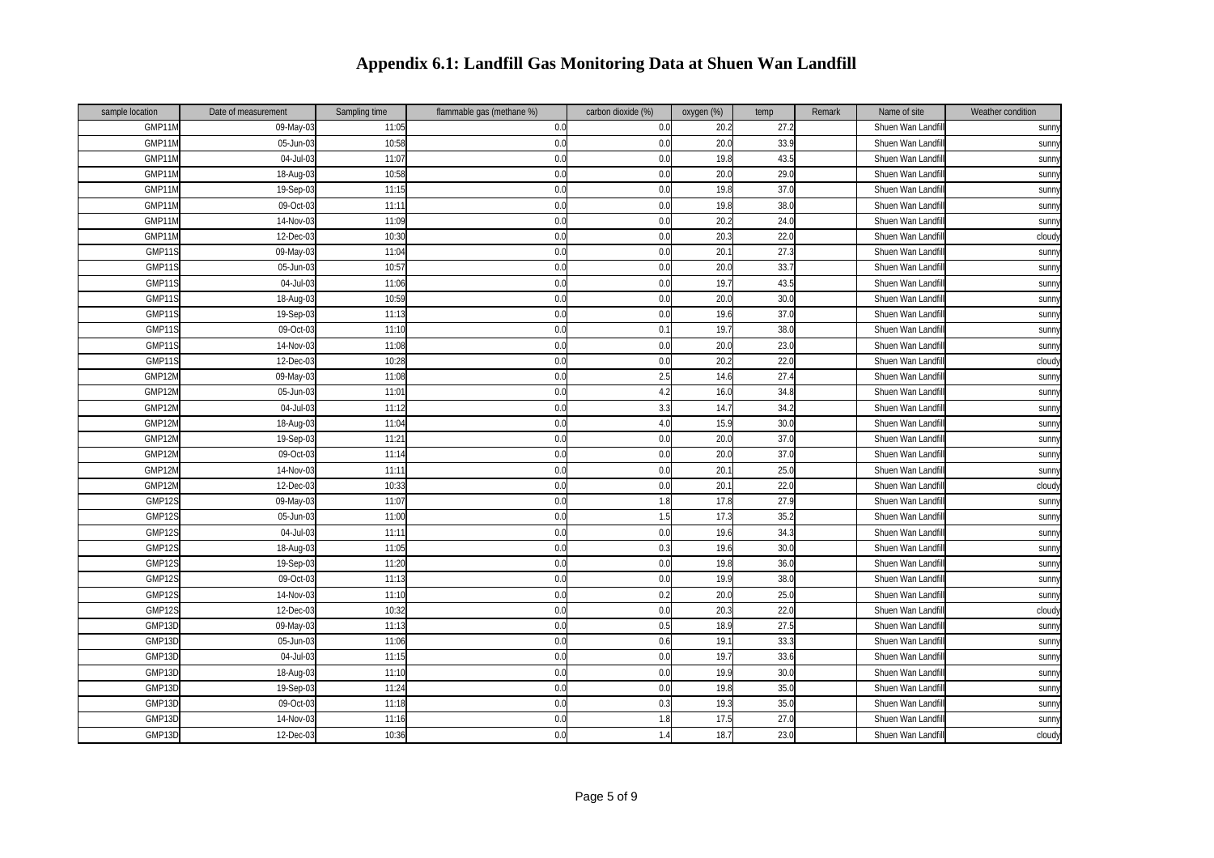| sample location | Date of measurement     | Sampling time | flammable gas (methane %) | carbon dioxide (%) | oxygen (%) | temp            | Remark | Name of site      | Weather condition |
|-----------------|-------------------------|---------------|---------------------------|--------------------|------------|-----------------|--------|-------------------|-------------------|
| GMP11N          | 09-May-03               | 11:05         | 0.0                       | 0.0                | 20.2       | 27.2            |        | Shuen Wan Landfi  | sunn              |
| GMP11N          | 05-Jun-03               | 10:58         | 0.0                       | 0.0                | 20.0       | 33.9            |        | Shuen Wan Landfi  | sunny             |
| GMP11N          | 04-Jul-0                | 11:07         | 0.0                       | 0.0                | 19.8       | 43.5            |        | Shuen Wan Landfi  | sunny             |
| GMP11M          | 18-Aug-03               | 10:58         | 0.0                       | 0.0                | 20.0       | 29.0            |        | Shuen Wan Landfi  | sunn              |
| GMP11M          | 19-Sep-03               | 11:15         | 0.0                       | 0.0                | 19.8       | 37.0            |        | Shuen Wan Landfi  | sunny             |
| GMP11M          | 09-Oct-03               | 11:11         | 0.0                       | 0.0                | 19.8       | 38 <sub>0</sub> |        | Shuen Wan Landfi  | sunn              |
| GMP11N          | 14-Nov-03               | 11:09         | 0.0                       | 0.0                | 20.2       | 24.0            |        | Shuen Wan Landfi  | sunny             |
| GMP11M          | 12-Dec-03               | 10:30         | 0.0                       | 0.0                | 20.3       | 22.0            |        | Shuen Wan Landfi  | cloudy            |
| GMP11S          | 09-May-03               | 11:04         | 0.0                       | 0.0                | 20.1       | 27.3            |        | Shuen Wan Landfi  | sunny             |
| GMP11S          | 05-Jun-03               | 10:57         | 0.0                       | 0.0                | 20.0       | 33.7            |        | Shuen Wan Landfi  | sunny             |
| GMP11S          | 04-Jul-03               | 11:06         | 0.0                       | 0.0                | 19.7       | 43.5            |        | Shuen Wan Landfi  | sunny             |
| GMP11S          | 18-Aug-03               | 10:59         | 0.0                       | 0.0                | 20.0       | 30.0            |        | Shuen Wan Landfi  | sunny             |
| GMP119          | 19-Sep-03               | 11:13         | 0.0                       | 0.0                | 19.6       | 37.0            |        | Shuen Wan Landfi  | sunny             |
| GMP119          | 09-Oct-03               | 11:10         | 0.0                       | 0.1                | 19.7       | 38.0            |        | Shuen Wan Landf   | sunny             |
| GMP11S          | 14-Nov-03               | 11:08         | 0.0                       | 0.0                | 20.0       | 23.0            |        | Shuen Wan Landfi  | <b>Sunn</b>       |
| GMP11S          | 12-Dec-03               | 10:28         | 0.0                       | 0.0                | 20.2       | 22.0            |        | Shuen Wan Landfil | cloud             |
| GMP12M          | 09-May-03               | 11:08         | 0.0                       | 2.5                | 14.6       | 27.4            |        | Shuen Wan Landfi  | sunn              |
| GMP12N          | 05-Jun-03               | 11:01         | 0.0                       | 4.2                | 16.0       | 34.8            |        | Shuen Wan Landf   | sunny             |
| GMP12M          | 04-Jul-03               | 11:12         | 0.0                       | 3.3                | 14.7       | 34.2            |        | Shuen Wan Landfi  | sunny             |
| GMP12M          | 18-Aug-03               | 11:04         | 0.0                       | 4.0                | 15.9       | 30.0            |        | Shuen Wan Landfi  | <b>Sunny</b>      |
| GMP12M          | 19-Sep-03               | 11:21         | 0.0                       | 0.0                | 20.0       | 37.0            |        | Shuen Wan Landfil | sunny             |
| GMP12M          | 09-Oct-03               | 11:14         | 0.0                       | 0.0                | 20.0       | 37.0            |        | Shuen Wan Landfi  | sunny             |
| GMP12M          | 14-Nov-03               | 11:11         | 0.0                       | 0.0                | 20.1       | 25.0            |        | Shuen Wan Landfi  | sunn              |
| GMP12M          | 12-Dec-03               | 10:33         | 0.0                       | 0.0                | 20.1       | 22.0            |        | Shuen Wan Landfi  | cloud             |
| GMP129          | 09-May-03               | 11:07         | 0.0                       | 1.8                | 17.8       | 27.9            |        | Shuen Wan Landfi  | sunny             |
| GMP12S          | $\overline{05}$ -Jun-03 | 11:00         | 0.0                       | 1.5                | 17.3       | 35.2            |        | Shuen Wan Landfi  | sunny             |
| GMP12S          | 04-Jul-03               | 11:11         | 0.0                       | 0.0                | 19.6       | 34.3            |        | Shuen Wan Landfi  | sunny             |
| GMP12S          | 18-Aug-03               | 11:05         | 0.0                       | 0.3                | 19.6       | 30.0            |        | Shuen Wan Landfi  | sunny             |
| GMP12S          | 19-Sep-03               | 11:20         | 0.0                       | 0.0                | 19.8       | 36.0            |        | Shuen Wan Landfi  | sunn)             |
| GMP12S          | 09-Oct-03               | 11:13         | 0.0                       | 0.0                | 19.9       | 38.0            |        | Shuen Wan Landfi  | sunny             |
| GMP129          | 14-Nov-03               | 11:10         | 0.0                       | 0.2                | 20.0       | 25.0            |        | Shuen Wan Landfi  | sunny             |
| GMP12S          | 12-Dec-03               | 10:32         | 0.0                       | 0.0                | 20.3       | 22.0            |        | Shuen Wan Landfi  | cloud             |
| GMP13D          | 09-May-03               | 11:13         | 0.0                       | 0.5                | 18.9       | 27.5            |        | Shuen Wan Landfil | sunn <sup>y</sup> |
| GMP13D          | 05-Jun-03               | 11:06         | 0.0                       | 0.6                | 19.1       | 33.3            |        | Shuen Wan Landfi  | sunn              |
| GMP13D          | 04-Jul-03               | 11:1!         | 0.0                       | 0.0                | 19.7       | 33.6            |        | Shuen Wan Landf   | sunn              |
| GMP13D          | 18-Aug-03               | 11:10         | 0.0                       | 0.0                | 19.9       | 30.0            |        | Shuen Wan Landf   | sunn <sup>y</sup> |
| GMP13D          | 19-Sep-03               | 11:24         | 0.0                       | 0.0                | 19.8       | 35.0            |        | Shuen Wan Landfi  | sunn <sup>y</sup> |
| GMP13D          | 09-Oct-03               | 11:18         | 0.0                       | 0.3                | 19.3       | 35.0            |        | Shuen Wan Landfil | sunny             |
| GMP13D          | 14-Nov-03               | 11:16         | 0.1                       | 1.8                | 17.5       | 27.0            |        | Shuen Wan Landfi  | sunny             |
| GMP13D          | $12$ -Dec-03            | 10:36         | 0.0                       | 1.4                | 18.7       | 23.0            |        | Shuen Wan Landfil | cloudy            |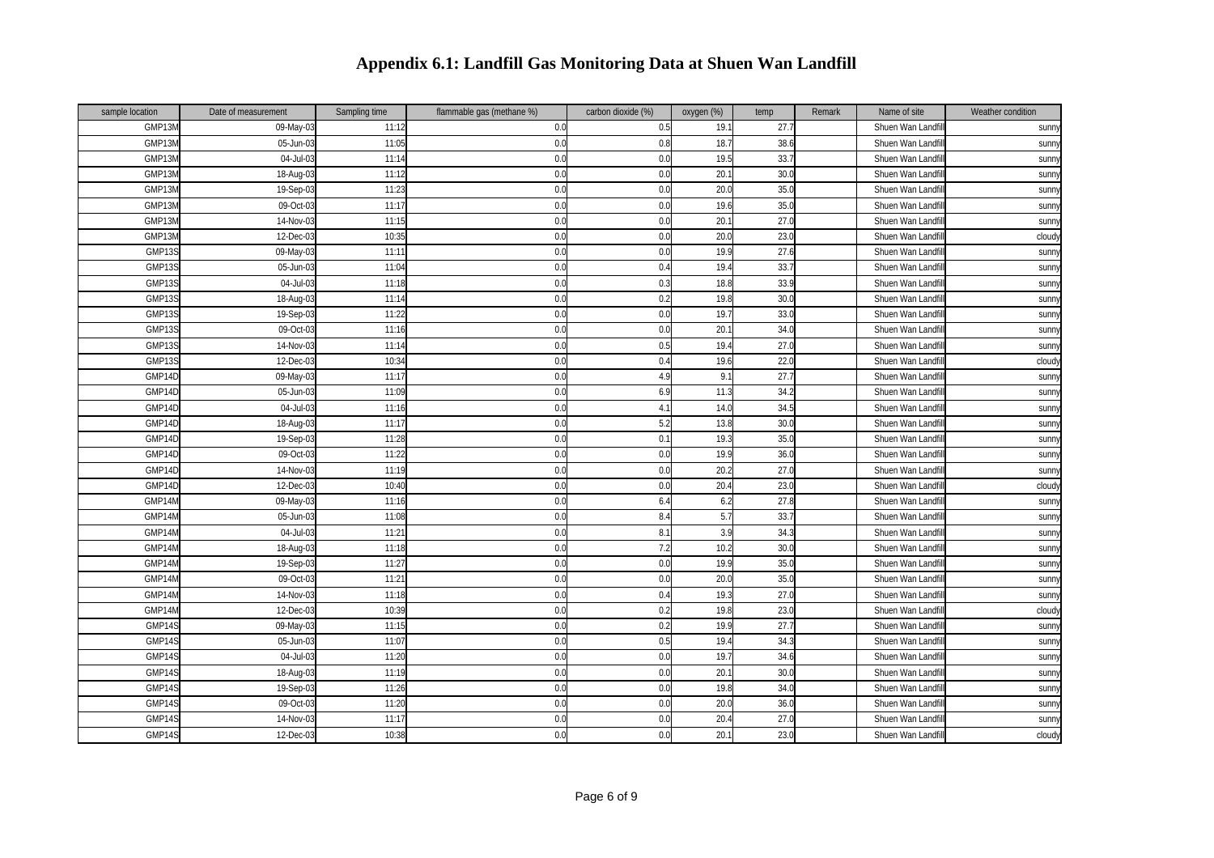| sample location | Date of measurement | Sampling time | flammable gas (methane %) | carbon dioxide (%) | oxygen (%) | temp | Remark | Name of site      | Weather condition |
|-----------------|---------------------|---------------|---------------------------|--------------------|------------|------|--------|-------------------|-------------------|
| GMP13M          | 09-May-03           | 11:12         | 0.0                       | 0.5                | 19.1       | 27.7 |        | Shuen Wan Landfil | sunn              |
| GMP13N          | 05-Jun-03           | 11:05         | 0.0                       | 0.8                | 18.7       | 38.6 |        | Shuen Wan Landfi  | sunny             |
| GMP13N          | 04-Jul-03           | 11:14         | 0.0                       | 0.0                | 19.5       | 33.7 |        | Shuen Wan Landfi  | sunny             |
| GMP13M          | 18-Aug-03           | 11:12         | 0.0                       | 0.0                | 20.1       | 30.0 |        | Shuen Wan Landfi  | sunny             |
| GMP13M          | 19-Sep-03           | 11:23         | 0.0                       | 0.0                | 20.0       | 35.0 |        | Shuen Wan Landfi  | sunny             |
| GMP13N          | 09-Oct-03           | 11:17         | 0.0                       | 0.0                | 19.6       | 35.0 |        | Shuen Wan Landfi  | sunn <sup>y</sup> |
| GMP13M          | 14-Nov-03           | 11:15         | 0.0                       | 0.0                | 20.1       | 27.0 |        | Shuen Wan Landfi  | sunn              |
| GMP13N          | 12-Dec-03           | 10:35         | 0.0                       | 0.0                | 20.0       | 23.0 |        | Shuen Wan Landf   | cloudy            |
| GMP13S          | 09-May-03           | 11:11         | 0.0                       | 0.0                | 19.9       | 27.6 |        | Shuen Wan Landfi  | sunn <sup>y</sup> |
| GMP13S          | 05-Jun-03           | 11:04         | 0.0                       | 0.4                | 19.4       | 33.7 |        | Shuen Wan Landfil | sunny             |
| GMP13S          | 04-Jul-03           | 11:18         | 0.0                       | 0.3                | 18.8       | 33.9 |        | Shuen Wan Landfi  | sunn <sup>y</sup> |
| GMP13S          | 18-Aug-03           | 11:14         | 0.0                       | 0.2                | 19.8       | 30.0 |        | Shuen Wan Landf   | sunn              |
| GMP13S          | 19-Sep-03           | 11:22         | 0.0                       | 0.0                | 19.7       | 33.0 |        | Shuen Wan Landf   | sunny             |
| GMP139          | 09-Oct-03           | 11:16         | 0.0                       | 0.0                | 20.1       | 34.0 |        | Shuen Wan Landf   | sunny             |
| GMP13S          | 14-Nov-03           | 11:14         | 0.0                       | 0.5                | 19.4       | 27.0 |        | Shuen Wan Landfi  | sunny             |
| GMP13S          | 12-Dec-03           | 10:34         | 0.0                       | 0.4                | 19.6       | 22.0 |        | Shuen Wan Landfil | cloudy            |
| GMP14D          | 09-May-03           | 11:17         | 0.0                       | 4.9                | 9.1        | 27.7 |        | Shuen Wan Landfi  | sunn <sup>y</sup> |
| GMP14D          | 05-Jun-0            | 11:09         | 0.0                       | 6.9                | 11.3       | 34.2 |        | Shuen Wan Landf   | sunny             |
| GMP14D          | 04-Jul-03           | 11:16         | 0.0                       | 4.1                | 14.0       | 34.5 |        | Shuen Wan Landfi  | sunny             |
| GMP14D          | 18-Aug-03           | 11:17         | 0.0                       | 5.2                | 13.8       | 30.0 |        | Shuen Wan Landfi  | <b>Sunn</b>       |
| GMP14D          | 19-Sep-03           | 11:28         | 0.0                       | 0.1                | 19.3       | 35.0 |        | Shuen Wan Landfil | sunny             |
| GMP14D          | 09-Oct-03           | 11:22         | 0.0                       | 0.0                | 19.9       | 36.0 |        | Shuen Wan Landfi  | <b>Sunn</b>       |
| GMP14D          | 14-Nov-03           | 11:19         | 0.0                       | 0.0                | 20.2       | 27.0 |        | Shuen Wan Landfi  | <b>Sunn</b>       |
| GMP14D          | 12-Dec-03           | 10:40         | 0.0                       | 0.0                | 20.4       | 23.0 |        | Shuen Wan Landf   | cloudy            |
| GMP14N          | 09-May-03           | 11:16         | 0.0                       | 6.4                | 6.2        | 27.8 |        | Shuen Wan Landfl  | sunny             |
| GMP14M          | 05-Jun-03           | 11:08         | 0.0                       | 8.4                | 5.7        | 33.7 |        | Shuen Wan Landf   | <b>Sunn</b>       |
| GMP14M          | 04-Jul-03           | 11:21         | 0.0                       | 8.1                | 3.9        | 34.3 |        | Shuen Wan Landfi  | sunny             |
| GMP14M          | 18-Aug-03           | 11:18         | 0.0                       | 7.2                | 10.2       | 30.0 |        | Shuen Wan Landfi  | <b>Sunn</b>       |
| GMP14M          | 19-Sep-03           | 11:2          | 0.0                       | 0.0                | 19.9       | 35.0 |        | Shuen Wan Landfi  | sunny             |
| GMP14M          | 09-Oct-03           | 11:21         | 0.0                       | 0.0                | 20.0       | 35.0 |        | Shuen Wan Landfi  | sunny             |
| GMP14N          | 14-Nov-03           | 11:18         | 0.0                       | 0.4                | 19.3       | 27.0 |        | Shuen Wan Landf   | sunny             |
| GMP14M          | 12-Dec-03           | 10:39         | 0.0                       | 0.2                | 19.8       | 23.0 |        | Shuen Wan Landfi  | cloudy            |
| GMP14S          | 09-May-03           | 11:15         | 0.0                       | 0.2                | 19.9       | 27.7 |        | Shuen Wan Landfil | sunn <sup>y</sup> |
| GMP149          | 05-Jun-03           | 11:07         | 0.0                       | 0.5                | 19.4       | 34.3 |        | Shuen Wan Landf   | sunn <sup>y</sup> |
| GMP14S          | 04-Jul-03           | 11:20         | 0.0                       | 0.0                | 19.7       | 34.6 |        | Shuen Wan Landf   | sunny             |
| GMP14S          | 18-Aug-03           | 11:19         | 0.0                       | 0.0                | 20.7       | 30.0 |        | Shuen Wan Landf   | sunny             |
| GMP14S          | 19-Sep-03           | 11:26         | 0.0                       | 0.0                | 19.8       | 34.0 |        | Shuen Wan Landfi  | sunn <sup>y</sup> |
| GMP14S          | 09-Oct-03           | 11:20         | 0.0                       | 0.0                | 20.0       | 36.0 |        | Shuen Wan Landfil | sunny             |
| GMP149          | 14-Nov-03           | 11:17         | 0.1                       | 0.0                | 20.4       | 27.0 |        | Shuen Wan Landfi  | sunny             |
| GMP14S          | $12$ -Dec-03        | 10:38         | 0.0                       | 0.0                | 20.1       | 23.0 |        | Shuen Wan Landfil | cloudy            |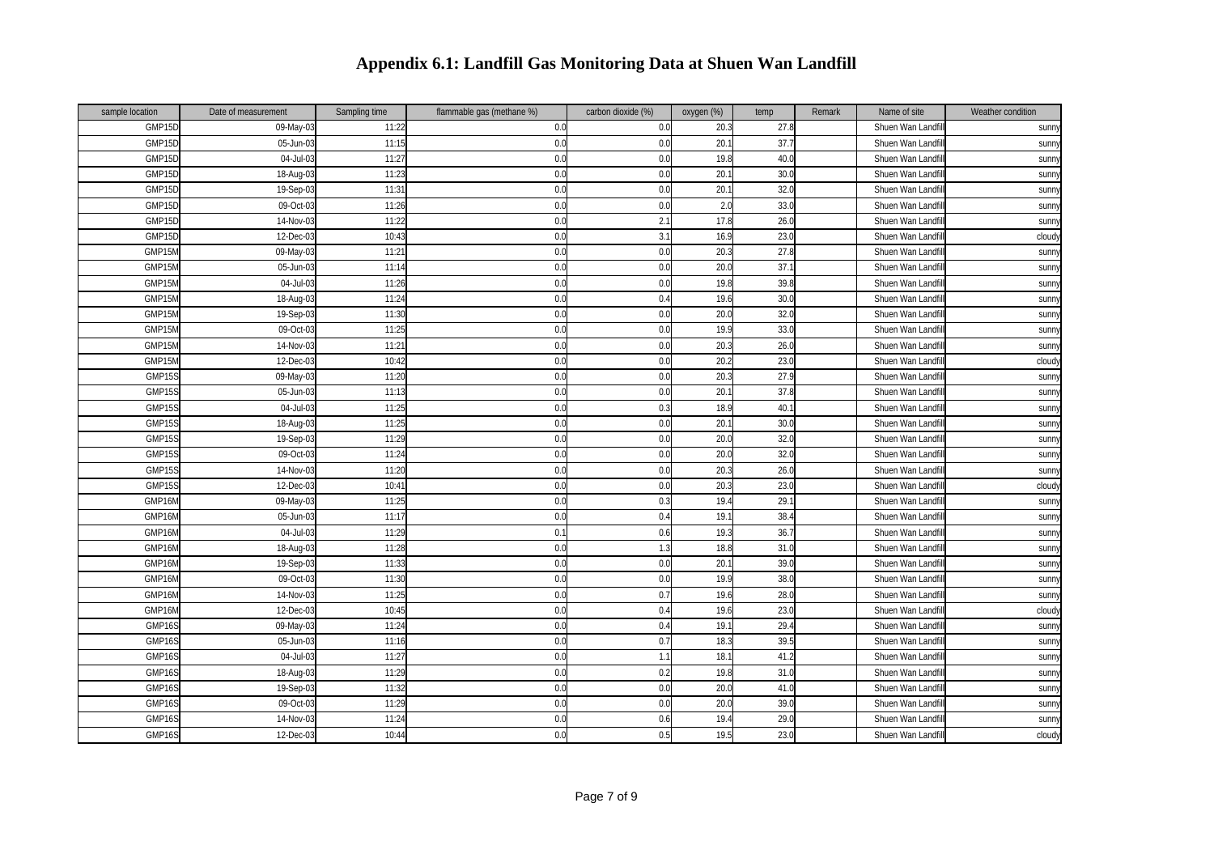| sample location | Date of measurement | Sampling time | flammable gas (methane %) | carbon dioxide (%) | oxygen (%) | temp | Remark | Name of site      | Weather condition |
|-----------------|---------------------|---------------|---------------------------|--------------------|------------|------|--------|-------------------|-------------------|
| GMP15D          | 09-May-0            | 11:22         | 0.0                       | 0.0                | 20.3       | 27.8 |        | Shuen Wan Landfi  | sunn              |
| GMP15D          | 05-Jun-03           | 11:15         | 0.0                       | 0.0                | 20.1       | 37.7 |        | Shuen Wan Landfi  | sunny             |
| GMP15D          | 04-Jul-0            | 11:27         | 0.0                       | 0.0                | 19.8       | 40.0 |        | Shuen Wan Landfi  | sunn              |
| GMP15D          | 18-Aug-03           | 11:2          | 0.0                       | 0.0                | 20.1       | 30.0 |        | Shuen Wan Landfi  | sunn              |
| GMP15D          | 19-Sep-03           | 11:31         | 0.0                       | 0.0                | 20.1       | 32.0 |        | Shuen Wan Landfil | sunn              |
| GMP15D          | 09-Oct-03           | 11:26         | 0.0                       | 0.0                | 2.0        | 33.0 |        | Shuen Wan Landfi  | sunn              |
| GMP15D          | 14-Nov-03           | 11:22         | 0.0                       | 2.1                | 17.8       | 26.0 |        | Shuen Wan Landfi  | sunny             |
| GMP15D          | 12-Dec-03           | 10:43         | 0.0                       | 3.1                | 16.9       | 23.0 |        | Shuen Wan Landfi  | cloudy            |
| GMP15M          | 09-May-03           | 11:21         | 0.0                       | 0.0                | 20.3       | 27.8 |        | Shuen Wan Landfi  | sunny             |
| GMP15M          | 05-Jun-03           | 11:14         | 0.0                       | 0.0                | 20.0       | 37.1 |        | Shuen Wan Landfil | sunn              |
| GMP15M          | 04-Jul-03           | 11:26         | 0.0                       | 0.0                | 19.8       | 39.8 |        | Shuen Wan Landfi  | sunn              |
| GMP15M          | 18-Aug-03           | 11:24         | 0.0                       | 0.4                | 19.6       | 30.0 |        | Shuen Wan Landfi  | sunn              |
| GMP15M          | 19-Sep-03           | 11:30         | 0.0                       | 0.0                | 20.0       | 32.0 |        | Shuen Wan Landf   | sunn              |
| GMP15M          | 09-Oct-03           | 11:25         | 0.0                       | 0.0                | 19.9       | 33.0 |        | Shuen Wan Landf   | sunny             |
| GMP15M          | 14-Nov-03           | 11:21         | 0.0                       | 0.0                | 20.3       | 26.0 |        | Shuen Wan Landfi  | sunn              |
| GMP15M          | 12-Dec-03           | 10:42         | 0.0                       | 0.0                | 20.2       | 23.0 |        | Shuen Wan Landfil | cloud             |
| GMP15S          | 09-May-03           | 11:20         | 0.0                       | 0.0                | 20.3       | 27.9 |        | Shuen Wan Landfi  | sunn              |
| GMP15S          | 05-Jun-03           | 11:1          | 0.0                       | 0.0                | 20.7       | 37.8 |        | Shuen Wan Landfi  | sunn              |
| GMP15S          | 04-Jul-03           | 11:25         | 0.0                       | 0.3                | 18.9       | 40.1 |        | Shuen Wan Landfi  | sunny             |
| GMP15S          | 18-Aug-03           | 11:25         | 0.0                       | 0.0                | 20.1       | 30.0 |        | Shuen Wan Landfi  | sunny             |
| GMP15S          | 19-Sep-03           | 11:29         | 0.0                       | 0.0                | 20.0       | 32.0 |        | Shuen Wan Landfil | sunn              |
| GMP15S          | 09-Oct-03           | 11:24         | 0.0                       | 0.0                | 20.0       | 32.0 |        | Shuen Wan Landfi  | sunn              |
| GMP15S          | 14-Nov-03           | 11:20         | 0.0                       | 0.0                | 20.3       | 26.0 |        | Shuen Wan Landfi  | sunn              |
| GMP159          | 12-Dec-03           | 10:4          | 0.0                       | 0.0                | 20.3       | 23.0 |        | Shuen Wan Landf   | cloudy            |
| GMP16N          | 09-May-03           | 11:25         | 0.0                       | 0.3                | 19.4       | 29.7 |        | Shuen Wan Landf   | sunn              |
| GMP16M          | 05-Jun-03           | 11:17         | 0.0                       | 0.4                | 19.1       | 38.4 |        | Shuen Wan Landfi  | sunn              |
| GMP16M          | 04-Jul-03           | 11:29         | 0.                        | 0.6                | 19.3       | 36.7 |        | Shuen Wan Landfil | sunny             |
| GMP16M          | 18-Aug-03           | 11:28         | 0.0                       | 1.3                | 18.8       | 31.0 |        | Shuen Wan Landfi  | sunn              |
| GMP16M          | 19-Sep-03           | 11:33         | 0.0                       | 0.0                | 20.7       | 39.0 |        | Shuen Wan Landf   | sunn              |
| GMP16M          | 09-Oct-03           | 11:30         | 0.0                       | 0.0                | 19.9       | 38.0 |        | Shuen Wan Landfi  | sunny             |
| GMP16M          | 14-Nov-03           | 11:25         | 0.0                       | 0.7                | 19.6       | 28.0 |        | Shuen Wan Landfil | sunny             |
| GMP16M          | 12-Dec-03           | 10:45         | 0.0                       | 0.4                | 19.6       | 23.0 |        | Shuen Wan Landfil | cloud             |
| GMP16S          | 09-May-03           | 11:24         | 0.0                       | 0.4                | 19.1       | 29.4 |        | Shuen Wan Landfi  | sunn              |
| GMP16S          | 05-Jun-03           | 11:16         | 0.0                       | 0.7                | 18.3       | 39.5 |        | Shuen Wan Landfi  | sunn              |
| GMP16S          | 04-Jul-03           | 11:27         | 0.0                       | 1.1                | 18.1       | 41.2 |        | Shuen Wan Landfi  | sunn              |
| GMP16S          | 18-Aug-03           | 11:29         | 0.0                       | 0.2                | 19.8       | 31.0 |        | Shuen Wan Landfi  | sunny             |
| GMP16S          | 19-Sep-03           | 11:32         | 0.0                       | 0.0                | 20.0       | 41.0 |        | Shuen Wan Landfi  | sunn              |
| GMP16S          | 09-Oct-03           | 11:29         | 0.0                       | 0.0                | 20.0       | 39.0 |        | Shuen Wan Landfil | sunny             |
| GMP169          | 14-Nov-0.           | 11:24         | 0.0                       | 0.6                | 19.4       | 29.0 |        | Shuen Wan Landf   | sunn <sup>y</sup> |
| GMP16S          | 12-Dec-03           | 10:44         | 0.0                       | 0.5                | 19.5       | 23.0 |        | Shuen Wan Landfi  | cloudy            |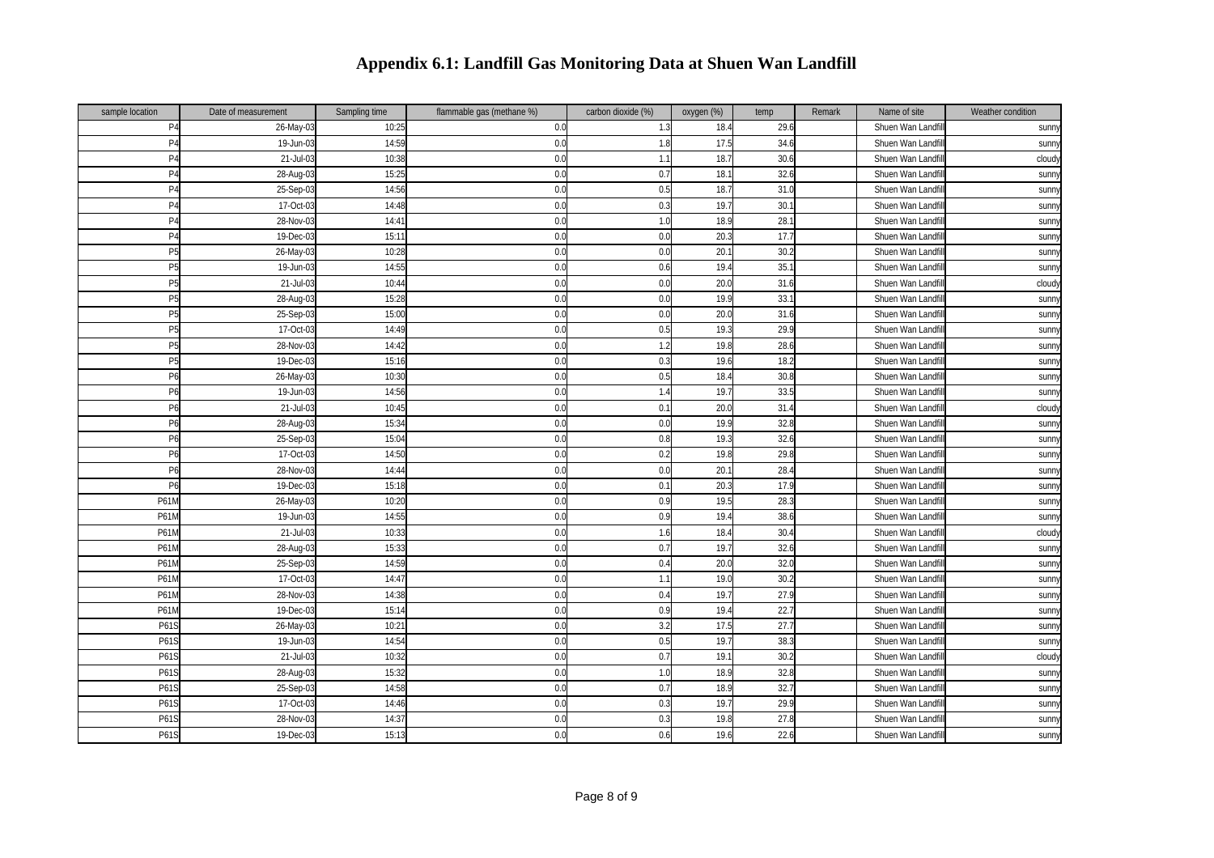| sample location | Date of measurement | Sampling time | flammable gas (methane %) | carbon dioxide (%) | oxygen (%) | temp | Remark | Name of site      | Weather condition |
|-----------------|---------------------|---------------|---------------------------|--------------------|------------|------|--------|-------------------|-------------------|
| P <sub>4</sub>  | 26-May-03           | 10:25         | 0.0                       | 1.3                | 18.4       | 29.6 |        | Shuen Wan Landfil | sunn              |
| P <sub>4</sub>  | 19-Jun-03           | 14:59         | 0.0                       | 1.8                | 17.5       | 34.6 |        | Shuen Wan Landfi  | sunny             |
| P <sub>4</sub>  | 21-Jul-03           | 10:38         | 0.0                       | 1.1                | 18.7       | 30.6 |        | Shuen Wan Landf   | cloudy            |
| P <sub>4</sub>  | 28-Aug-03           | 15:25         | 0.0                       | 0.7                | 18.1       | 32.6 |        | Shuen Wan Landf   | sunn              |
| P <sub>4</sub>  | 25-Sep-03           | 14:56         | 0.0                       | 0.5                | 18.7       | 31.0 |        | Shuen Wan Landfi  | sunny             |
| P <sub>4</sub>  | 17-Oct-03           | 14:48         | 0.0                       | 0.3                | 19.7       | 30.  |        | Shuen Wan Landf   | sunny             |
| P <sub>4</sub>  | 28-Nov-03           | 14:41         | 0.0                       | 1.0                | 18.9       | 28.7 |        | Shuen Wan Landf   | sunn              |
| P <sub>4</sub>  | 19-Dec-03           | 15:11         | 0.0                       | 0.0                | 20.3       | 17.7 |        | Shuen Wan Landf   | sunny             |
| P <sub>5</sub>  | 26-May-03           | 10:28         | 0.0                       | 0.0                | 20.1       | 30.2 |        | Shuen Wan Landf   | sunny             |
| P <sub>5</sub>  | 19-Jun-03           | 14:55         | 0.0                       | 0.6                | 19.4       | 35.1 |        | Shuen Wan Landf   | sunn              |
| P <sub>5</sub>  | 21-Jul-03           | 10:44         | 0.0                       | 0.0                | 20.0       | 31.6 |        | Shuen Wan Landfi  | cloudy            |
| P <sub>5</sub>  | 28-Aug-03           | 15:28         | 0.0                       | 0.0                | 19.9       | 33.1 |        | Shuen Wan Landf   | sunn              |
| P <sub>5</sub>  | 25-Sep-03           | 15:00         | 0.0                       | 0.0                | 20.0       | 31.6 |        | Shuen Wan Landf   | sunny             |
| P <sub>5</sub>  | 17-Oct-03           | 14:49         | 0.0                       | 0.5                | 19.3       | 29.9 |        | Shuen Wan Landf   | sunny             |
| P <sub>5</sub>  | 28-Nov-03           | 14:42         | 0.0                       | 1.2                | 19.8       | 28.6 |        | Shuen Wan Landf   | sunn              |
| P <sub>5</sub>  | 19-Dec-03           | 15:16         | 0.0                       | 0.3                | 19.6       | 18.2 |        | Shuen Wan Landfi  | sunny             |
| P <sub>6</sub>  | 26-May-03           | 10:30         | 0.0                       | 0.5                | 18.4       | 30.8 |        | Shuen Wan Landf   | sunn              |
| P <sub>6</sub>  | 19-Jun-03           | 14:56         | 0.0                       | 1.4                | 19.7       | 33.5 |        | Shuen Wan Landf   | sunny             |
| P6              | 21-Jul-03           | 10:45         | 0.0                       | 0.1                | 20.0       | 31.4 |        | Shuen Wan Landf   | cloudy            |
| P6              | 28-Aug-03           | 15:34         | 0.0                       | 0.0                | 19.9       | 32.8 |        | Shuen Wan Landf   | sunny             |
| P6              | 25-Sep-03           | 15:04         | 0.0                       | 0.8                | 19.3       | 32.6 |        | Shuen Wan Landfi  | sunny             |
| P <sub>6</sub>  | 17-Oct-03           | 14:50         | 0.0                       | 0.2                | 19.8       | 29.8 |        | Shuen Wan Landfi  | sunny             |
| P <sub>6</sub>  | 28-Nov-03           | 14:44         | 0.0                       | 0.0                | 20.1       | 28.4 |        | Shuen Wan Landf   | sunn              |
| P6              | 19-Dec-03           | 15:18         | 0.0                       | 0.1                | 20.3       | 17.9 |        | Shuen Wan Landf   | sunny             |
| P61M            | 26-May-03           | 10:20         | 0.0                       | 0.9                | 19.5       | 28.3 |        | Shuen Wan Landf   | sunny             |
| P61M            | 19-Jun-03           | 14:55         | 0.0                       | 0.9                | 19.4       | 38.6 |        | Shuen Wan Landf   | <b>Sunn</b>       |
| P61M            | 21-Jul-03           | 10:33         | 0.0                       | 1.6                | 18.4       | 30.4 |        | Shuen Wan Landfil | cloud             |
| P61N            | 28-Aug-03           | 15:33         | 0.0                       | 0.7                | 19.7       | 32.6 |        | Shuen Wan Landf   | <b>Sunn</b>       |
| P61N            | 25-Sep-03           | 14:59         | 0.0                       | 0.4                | 20.0       | 32.0 |        | Shuen Wan Landf   | sunny             |
| P61N            | 17-Oct-03           | 14:47         | 0.0                       | 1.1                | 19.0       | 30.2 |        | Shuen Wan Landf   | sunny             |
| P61M            | 28-Nov-03           | 14:38         | 0.0                       | 0.4                | 19.7       | 27.9 |        | Shuen Wan Landf   | sunny             |
| P61M            | 19-Dec-03           | 15:14         | 0.0                       | 0.9                | 19.4       | 22.7 |        | Shuen Wan Landfi  | sunny             |
| P61S            | 26-May-03           | 10:21         | 0.0                       | 3.2                | 17.5       | 27.7 |        | Shuen Wan Landfi  | sunny             |
| P61S            | 19-Jun-03           | 14:54         | 0.0                       | 0.5                | 19.7       | 38.3 |        | Shuen Wan Landf   | sunny             |
| P61S            | 21-Jul-03           | 10:32         | 0.0                       | 0.7                | 19.1       | 30.2 |        | Shuen Wan Landf   | cloudy            |
| P61S            | 28-Aug-03           | 15:32         | 0.0                       | 1.0                | 18.9       | 32.8 |        | Shuen Wan Landf   | sunny             |
| P61S            | 25-Sep-03           | 14:58         | 0.0                       | 0.7                | 18.9       | 32.7 |        | Shuen Wan Landfi  | sunny             |
| P61S            | 17-Oct-03           | 14:46         | 0.0                       | 0.3                | 19.7       | 29.9 |        | Shuen Wan Landfi  | sunny             |
| P61S            | 28-Nov-03           | 14:37         | 0.0                       | $0.\overline{3}$   | 19.8       | 27.8 |        | Shuen Wan Landf   | sunny             |
| P61S            | 19-Dec-03           | 15:13         | 0.0                       | 0.6                | 19.6       | 22.6 |        | Shuen Wan Landf   | sunny             |